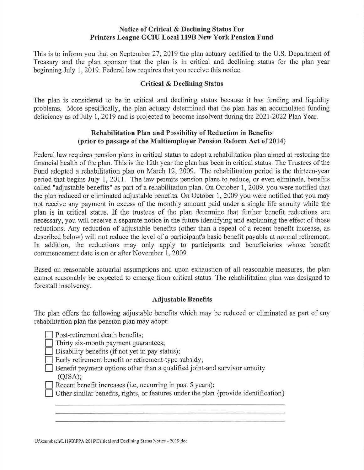## **Notice of Critical & Declining Status For Printers League GCIU Local 119B New York Pension Fund**

This is to inform you that on September 27, 2019 the plan actuary certified to the U.S. Department of Treasury and the plan sponsor that the plan is in critical and declining status for the plan year beginning July 1, 2019. Federal law requires that you receive this notice.

# **Critical & Declining Status**

The plan is considered to be in critical and declining status because it has funding and liquidity problems. More specifically, the plan actuary determined that the plan has an accumulated funding deficiency as of July 1, 2019 and is projected to become insolvent during the 2021-2022 Plan Year.

## **Rehabilitation Plan and Possibility of Reduction in Benefits (prior to passage of the Multiemployer Pension Reform Act of 2014)**

Federal law requires pension plans in critical status to adopt a rehabilitation plan aimed at restoring the financial health of the plan. This is the 12th year the plan has been in critical status. The Trustees of the Fund adopted a rehabilitation plan on March 12, 2009. The rehabilitation period is the thirteen-year period that begins July 1, 2011. The law permits pension plans to reduce, or even eliminate, benefits called "adjustable benefits" as part of a rehabilitation plan. On October 1, 2009, you were notified that the plan reduced or eliminated adjustable benefits. On October 1, 2009 you were notified that you may not receive any payment in excess of the monthly amount paid under a single life annuity while the plan is in critical status. If the trustees of the plan determine that further benefit reductions are necessary, you will receive a separate notice in the future identifying and explaining the effect of those reductions. Any reduction of adjustable benefits ( other than a repeal of a recent benefit increase, as described below) will not reduce the level of a participant's basic benefit payable at normal retirement. In addition, the reductions may only apply to participants and beneficiaries whose benefit commencement date is on or after November 1, 2009.

Based on reasonable actuarial assumptions and upon exhaustion of all reasonable measures, the plan cannot reasonably be expected to emerge from critical status. The rehabilitation plan was designed to forestall insolvency.

## **Adjustable Benefits**

The plan offers the following adjustable benefits which may be reduced or eliminated as part of any rehabilitation plan the pension plan may adopt:

Post-retirement death benefits;

Thirty six-month payment guarantees;

Disability benefits (if not yet in pay status);

Early retirement benefit or retirement-type subsidy;

D Benefit payment options other than a qualified joint-and survivor annuity (QJSA);

Recent benefit increases (i.e, occurring in past 5 years);

Other similar benefits, rights, or features under the plan {provide identification}